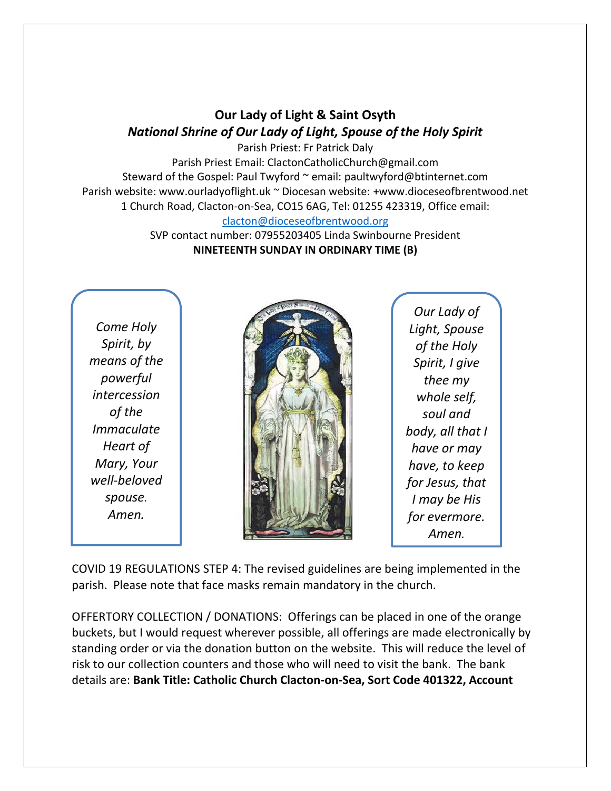## **Our Lady of Light & Saint Osyth** *National Shrine of Our Lady of Light, Spouse of the Holy Spirit*

Parish Priest: Fr Patrick Daly Parish Priest Email: ClactonCatholicChurch@gmail.com Steward of the Gospel: Paul Twyford ~ email: paultwyford@btinternet.com Parish website: www.ourladyoflight.uk ~ Diocesan website: +www.dioceseofbrentwood.net 1 Church Road, Clacton-on-Sea, CO15 6AG, Tel: 01255 423319, Office email: [clacton@dioceseofbrentwood.org](mailto:clacton@dioceseofbrentwood.org)

> SVP contact number: 07955203405 Linda Swinbourne President **NINETEENTH SUNDAY IN ORDINARY TIME (B)**

*Come Holy Spirit, by means of the powerful intercession of the Immaculate Heart of Mary, Your well-beloved spouse. Amen.*



*Our Lady of Light, Spouse of the Holy Spirit, I give thee my whole self, soul and body, all that I have or may have, to keep for Jesus, that I may be His for evermore. Amen.*

COVID 19 REGULATIONS STEP 4: The revised guidelines are being implemented in the parish. Please note that face masks remain mandatory in the church.

OFFERTORY COLLECTION / DONATIONS: Offerings can be placed in one of the orange buckets, but I would request wherever possible, all offerings are made electronically by standing order or via the donation button on the website. This will reduce the level of risk to our collection counters and those who will need to visit the bank. The bank details are: **Bank Title: Catholic Church Clacton-on-Sea, Sort Code 401322, Account**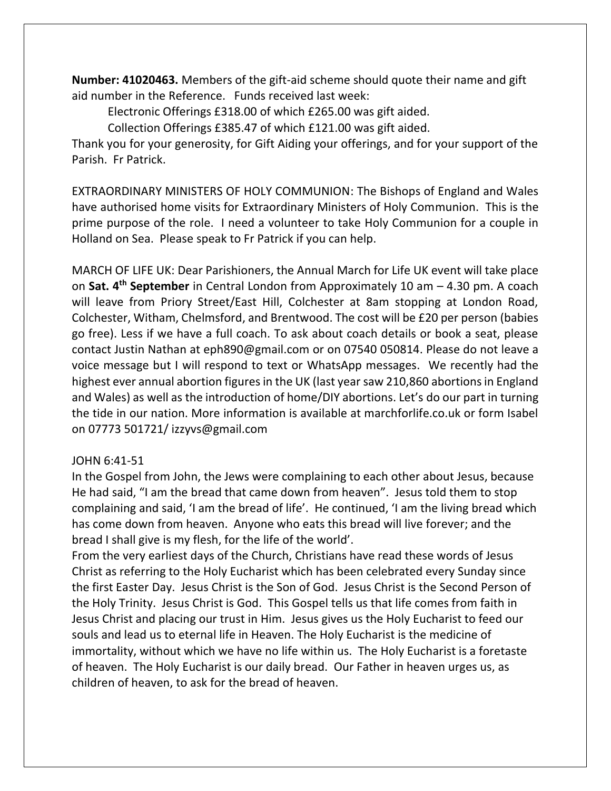**Number: 41020463.** Members of the gift-aid scheme should quote their name and gift aid number in the Reference. Funds received last week:

Electronic Offerings £318.00 of which £265.00 was gift aided.

Collection Offerings £385.47 of which £121.00 was gift aided.

Thank you for your generosity, for Gift Aiding your offerings, and for your support of the Parish. Fr Patrick.

EXTRAORDINARY MINISTERS OF HOLY COMMUNION: The Bishops of England and Wales have authorised home visits for Extraordinary Ministers of Holy Communion. This is the prime purpose of the role. I need a volunteer to take Holy Communion for a couple in Holland on Sea. Please speak to Fr Patrick if you can help.

MARCH OF LIFE UK: Dear Parishioners, the Annual March for Life UK event will take place on **Sat. 4th September** in Central London from Approximately 10 am – 4.30 pm. A coach will leave from Priory Street/East Hill, Colchester at 8am stopping at London Road, Colchester, Witham, Chelmsford, and Brentwood. The cost will be £20 per person (babies go free). Less if we have a full coach. To ask about coach details or book a seat, please contact Justin Nathan at [eph890@gmail.com](mailto:eph890@gmail.com) or on 07540 050814. Please do not leave a voice message but I will respond to text or WhatsApp messages. We recently had the highest ever annual abortion figures in the UK (last year saw 210,860 abortions in England and Wales) as well as the introduction of home/DIY abortions. Let's do our part in turning the tide in our nation. More information is available at marchforlife.co.uk or form Isabel on 07773 501721/ izzyvs@gmail.com

## JOHN 6:41-51

In the Gospel from John, the Jews were complaining to each other about Jesus, because He had said, "I am the bread that came down from heaven". Jesus told them to stop complaining and said, 'I am the bread of life'. He continued, 'I am the living bread which has come down from heaven. Anyone who eats this bread will live forever; and the bread I shall give is my flesh, for the life of the world'.

From the very earliest days of the Church, Christians have read these words of Jesus Christ as referring to the Holy Eucharist which has been celebrated every Sunday since the first Easter Day. Jesus Christ is the Son of God. Jesus Christ is the Second Person of the Holy Trinity. Jesus Christ is God. This Gospel tells us that life comes from faith in Jesus Christ and placing our trust in Him. Jesus gives us the Holy Eucharist to feed our souls and lead us to eternal life in Heaven. The Holy Eucharist is the medicine of immortality, without which we have no life within us. The Holy Eucharist is a foretaste of heaven. The Holy Eucharist is our daily bread. Our Father in heaven urges us, as children of heaven, to ask for the bread of heaven.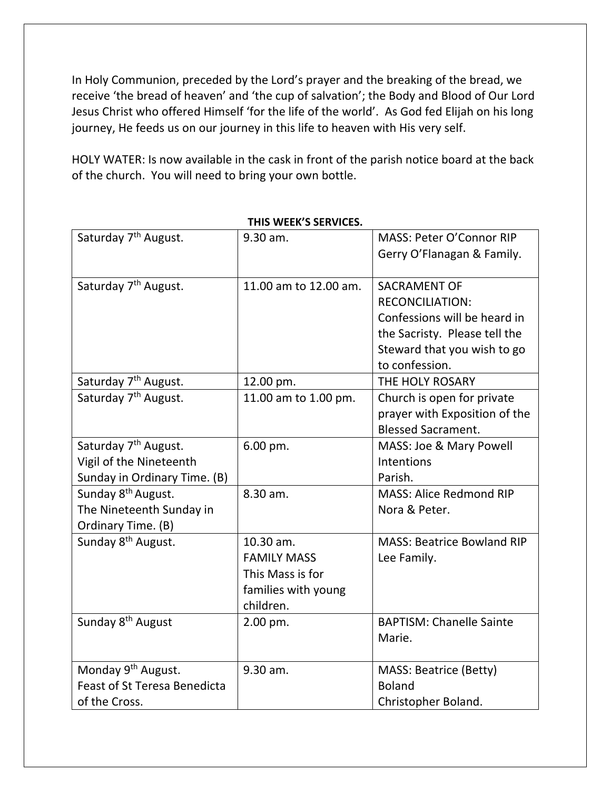In Holy Communion, preceded by the Lord's prayer and the breaking of the bread, we receive 'the bread of heaven' and 'the cup of salvation'; the Body and Blood of Our Lord Jesus Christ who offered Himself 'for the life of the world'. As God fed Elijah on his long journey, He feeds us on our journey in this life to heaven with His very self.

HOLY WATER: Is now available in the cask in front of the parish notice board at the back of the church. You will need to bring your own bottle.

| Saturday 7 <sup>th</sup> August.                                                 | 9.30 am.                                                                                | MASS: Peter O'Connor RIP<br>Gerry O'Flanagan & Family.                                                                                                          |
|----------------------------------------------------------------------------------|-----------------------------------------------------------------------------------------|-----------------------------------------------------------------------------------------------------------------------------------------------------------------|
| Saturday 7 <sup>th</sup> August.                                                 | 11.00 am to 12.00 am.                                                                   | <b>SACRAMENT OF</b><br><b>RECONCILIATION:</b><br>Confessions will be heard in<br>the Sacristy. Please tell the<br>Steward that you wish to go<br>to confession. |
| Saturday 7 <sup>th</sup> August.                                                 | 12.00 pm.                                                                               | THE HOLY ROSARY                                                                                                                                                 |
| Saturday 7 <sup>th</sup> August.                                                 | 11.00 am to 1.00 pm.                                                                    | Church is open for private<br>prayer with Exposition of the<br><b>Blessed Sacrament.</b>                                                                        |
| Saturday 7 <sup>th</sup> August.                                                 | 6.00 pm.                                                                                | MASS: Joe & Mary Powell                                                                                                                                         |
| Vigil of the Nineteenth                                                          |                                                                                         | Intentions                                                                                                                                                      |
| Sunday in Ordinary Time. (B)                                                     |                                                                                         | Parish.                                                                                                                                                         |
| Sunday 8 <sup>th</sup> August.<br>The Nineteenth Sunday in<br>Ordinary Time. (B) | 8.30 am.                                                                                | <b>MASS: Alice Redmond RIP</b><br>Nora & Peter.                                                                                                                 |
| Sunday 8 <sup>th</sup> August.                                                   | 10.30 am.<br><b>FAMILY MASS</b><br>This Mass is for<br>families with young<br>children. | <b>MASS: Beatrice Bowland RIP</b><br>Lee Family.                                                                                                                |
| Sunday 8 <sup>th</sup> August                                                    | 2.00 pm.                                                                                | <b>BAPTISM: Chanelle Sainte</b><br>Marie.                                                                                                                       |
| Monday 9 <sup>th</sup> August.                                                   | 9.30 am.                                                                                | MASS: Beatrice (Betty)                                                                                                                                          |
| <b>Feast of St Teresa Benedicta</b>                                              |                                                                                         | <b>Boland</b>                                                                                                                                                   |
| of the Cross.                                                                    |                                                                                         | Christopher Boland.                                                                                                                                             |

**THIS WEEK'S SERVICES.**